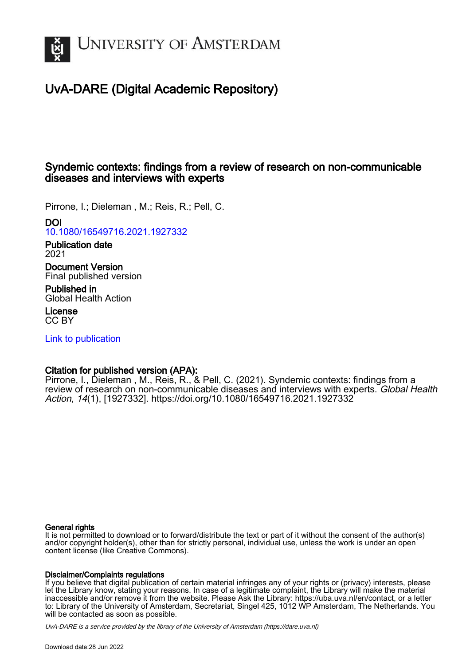

# UvA-DARE (Digital Academic Repository)

## Syndemic contexts: findings from a review of research on non-communicable diseases and interviews with experts

Pirrone, I.; Dieleman , M.; Reis, R.; Pell, C.

## DOI

[10.1080/16549716.2021.1927332](https://doi.org/10.1080/16549716.2021.1927332)

#### Publication date 2021

Document Version Final published version

Published in Global Health Action

License CC BY

[Link to publication](https://dare.uva.nl/personal/pure/en/publications/syndemic-contexts-findings-from-a-review-of-research-on-noncommunicable-diseases-and-interviews-with-experts(8b2d8aa1-8cc8-4587-a28b-207ade98ad56).html)

## Citation for published version (APA):

Pirrone, I., Dieleman , M., Reis, R., & Pell, C. (2021). Syndemic contexts: findings from a review of research on non-communicable diseases and interviews with experts. Global Health Action, 14(1), [1927332]. <https://doi.org/10.1080/16549716.2021.1927332>

## General rights

It is not permitted to download or to forward/distribute the text or part of it without the consent of the author(s) and/or copyright holder(s), other than for strictly personal, individual use, unless the work is under an open content license (like Creative Commons).

## Disclaimer/Complaints regulations

If you believe that digital publication of certain material infringes any of your rights or (privacy) interests, please let the Library know, stating your reasons. In case of a legitimate complaint, the Library will make the material inaccessible and/or remove it from the website. Please Ask the Library: https://uba.uva.nl/en/contact, or a letter to: Library of the University of Amsterdam, Secretariat, Singel 425, 1012 WP Amsterdam, The Netherlands. You will be contacted as soon as possible.

UvA-DARE is a service provided by the library of the University of Amsterdam (http*s*://dare.uva.nl)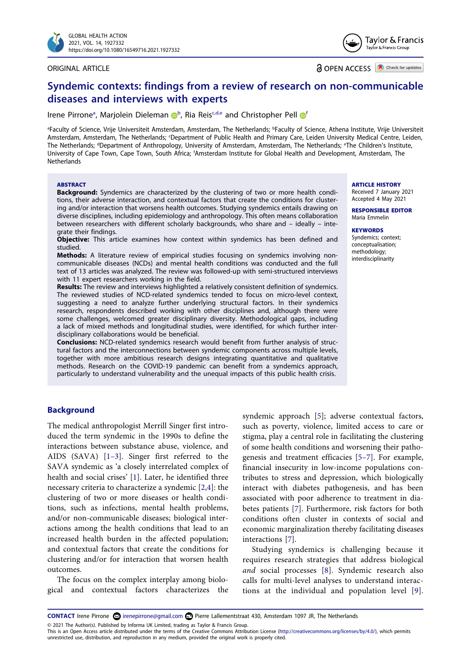

#### ORIGINAL ARTICLE

Tavlor & Francis Taylor & Francis Group

**a** OPEN ACCESS **D** Check for updates

## **Syndemic contexts: findings from a review of research on non-communicable diseases and interviews with experts**

Irene Pirrone<sup>[a](#page-1-0)</sup>, Marjolei[n](http://orcid.org/0000-0001-8399-7114) Dieleman D<sup>[b](#page-1-0)</sup>, Ria Reis<sup>c[,d,e](#page-1-2)</sup> and Christopher Pell D<sup>4</sup>

<span id="page-1-3"></span><span id="page-1-2"></span><span id="page-1-1"></span><span id="page-1-0"></span><sup>a</sup>Faculty of Science, Vrije Universiteit Amsterdam, Amsterdam, The Netherlands; <sup>b</sup>Faculty of Science, Athena Institute, Vrije Universiteit Amsterdam, Amsterdam, The Netherlands; <sup>c</sup>Department of Public Health and Primary Care, Leiden University Medical Centre, Leiden, The Netherlands; <sup>d</sup>Department of Anthropology, University of Amsterdam, Amsterdam, The Netherlands; <sup>e</sup>The Children's Institute, University of Cape Town, Cape Town, South Africa; <sup>f</sup>Amsterdam Institute for Global Health and Development, Amsterdam, The **Netherlands** 

#### **ABSTRACT**

**Background:** Syndemics are characterized by the clustering of two or more health conditions, their adverse interaction, and contextual factors that create the conditions for clustering and/or interaction that worsens health outcomes. Studying syndemics entails drawing on diverse disciplines, including epidemiology and anthropology. This often means collaboration between researchers with different scholarly backgrounds, who share and – ideally – integrate their findings.

**Objective:** This article examines how context within syndemics has been defined and studied.

**Methods:** A literature review of empirical studies focusing on syndemics involving noncommunicable diseases (NCDs) and mental health conditions was conducted and the full text of 13 articles was analyzed. The review was followed-up with semi-structured interviews with 11 expert researchers working in the field.

**Results:** The review and interviews highlighted a relatively consistent definition of syndemics. The reviewed studies of NCD-related syndemics tended to focus on micro-level context, suggesting a need to analyze further underlying structural factors. In their syndemics research, respondents described working with other disciplines and, although there were some challenges, welcomed greater disciplinary diversity. Methodological gaps, including a lack of mixed methods and longitudinal studies, were identified, for which further interdisciplinary collaborations would be beneficial.

**Conclusions:** NCD-related syndemics research would benefit from further analysis of structural factors and the interconnections between syndemic components across multiple levels, together with more ambitious research designs integrating quantitative and qualitative methods. Research on the COVID-19 pandemic can benefit from a syndemics approach, particularly to understand vulnerability and the unequal impacts of this public health crisis.

#### **ARTICLE HISTORY**

Received 7 January 2021 Accepted 4 May 2021

**RESPONSIBLE EDITOR**  Maria Emmelin

#### **KEYWORDS**

Syndemics; context; conceptualisation; methodology; interdisciplinarity

## **Background**

<span id="page-1-5"></span><span id="page-1-4"></span>The medical anthropologist Merrill Singer first introduced the term syndemic in the 1990s to define the interactions between substance abuse, violence, and AIDS (SAVA) [[1–3](#page-9-0)]. Singer first referred to the SAVA syndemic as 'a closely interrelated complex of health and social crises' [\[1](#page-9-0)]. Later, he identified three necessary criteria to characterize a syndemic [\[2](#page-9-1),[4\]](#page-9-2): the clustering of two or more diseases or health conditions, such as infections, mental health problems, and/or non-communicable diseases; biological interactions among the health conditions that lead to an increased health burden in the affected population; and contextual factors that create the conditions for clustering and/or for interaction that worsen health outcomes.

The focus on the complex interplay among biological and contextual factors characterizes the

<span id="page-1-6"></span>syndemic approach [\[5](#page-9-3)]; adverse contextual factors, such as poverty, violence, limited access to care or stigma, play a central role in facilitating the clustering of some health conditions and worsening their pathogenesis and treatment efficacies [[5–7](#page-9-3)]. For example, financial insecurity in low-income populations contributes to stress and depression, which biologically interact with diabetes pathogenesis, and has been associated with poor adherence to treatment in diabetes patients [\[7\]](#page-9-4). Furthermore, risk factors for both conditions often cluster in contexts of social and economic marginalization thereby facilitating diseases interactions [[7\]](#page-9-4).

<span id="page-1-9"></span><span id="page-1-8"></span><span id="page-1-7"></span>Studying syndemics is challenging because it requires research strategies that address biological *and* social processes [\[8](#page-9-5)]. Syndemic research also calls for multi-level analyses to understand interactions at the individual and population level [[9](#page-9-6)].

**CONTACT** Irene Pirrone **in a literature in a matter in the CONTACT** Irene Pirrone @gmail.com **C** Pierre Lallementstraat 430, Amsterdam 1097 JR, The Netherlands © 2021 The Author(s). Published by Informa UK Limited, trading as Taylor & Francis Group.

This is an Open Access article distributed under the terms of the Creative Commons Attribution License (http://creativecommons.org/licenses/by/4.0/), which permits unrestricted use, distribution, and reproduction in any medium, provided the original work is properly cited.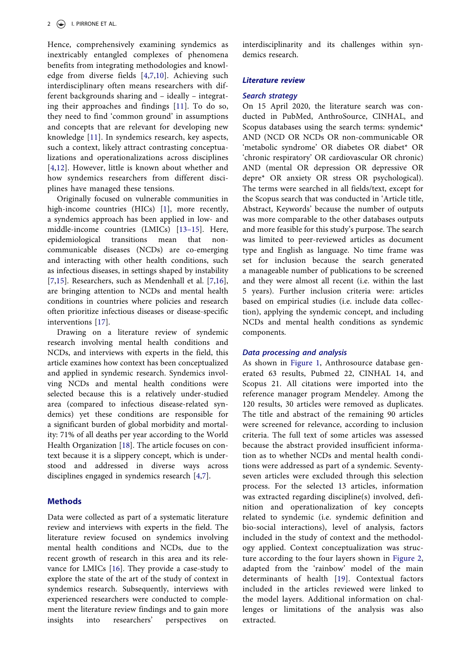<span id="page-2-0"></span>Hence, comprehensively examining syndemics as inextricably entangled complexes of phenomena benefits from integrating methodologies and knowledge from diverse fields [[4,](#page-9-2)[7](#page-9-4),[10](#page-9-7)]. Achieving such interdisciplinary often means researchers with different backgrounds sharing and – ideally – integrating their approaches and findings [[11\]](#page-9-8). To do so, they need to find 'common ground' in assumptions and concepts that are relevant for developing new knowledge [[11](#page-9-8)]. In syndemics research, key aspects, such a context, likely attract contrasting conceptualizations and operationalizations across disciplines [[4](#page-9-2)[,12\]](#page-9-9). However, little is known about whether and how syndemics researchers from different disciplines have managed these tensions.

<span id="page-2-3"></span><span id="page-2-2"></span><span id="page-2-1"></span>Originally focused on vulnerable communities in high-income countries (HICs) [\[1](#page-9-0)], more recently, a syndemics approach has been applied in low- and middle-income countries (LMICs) [\[13–15](#page-9-10)]. Here, epidemiological transitions mean that noncommunicable diseases (NCDs) are co-emerging and interacting with other health conditions, such as infectious diseases, in settings shaped by instability [[7,](#page-9-4)[15](#page-10-0)]. Researchers, such as Mendenhall et al. [\[7](#page-9-4),[16\]](#page-10-1), are bringing attention to NCDs and mental health conditions in countries where policies and research often prioritize infectious diseases or disease-specific interventions [\[17](#page-10-2)].

<span id="page-2-6"></span><span id="page-2-4"></span>Drawing on a literature review of syndemic research involving mental health conditions and NCDs, and interviews with experts in the field, this article examines how context has been conceptualized and applied in syndemic research. Syndemics involving NCDs and mental health conditions were selected because this is a relatively under-studied area (compared to infectious disease-related syndemics) yet these conditions are responsible for a significant burden of global morbidity and mortality: 71% of all deaths per year according to the World Health Organization [\[18](#page-10-3)]. The article focuses on context because it is a slippery concept, which is understood and addressed in diverse ways across disciplines engaged in syndemics research [\[4](#page-9-2)[,7\]](#page-9-4).

## <span id="page-2-7"></span>**Methods**

<span id="page-2-8"></span><span id="page-2-5"></span>Data were collected as part of a systematic literature review and interviews with experts in the field. The literature review focused on syndemics involving mental health conditions and NCDs, due to the recent growth of research in this area and its relevance for LMICs [[16\]](#page-10-1). They provide a case-study to explore the state of the art of the study of context in syndemics research. Subsequently, interviews with experienced researchers were conducted to complement the literature review findings and to gain more insights into researchers' perspectives on

interdisciplinarity and its challenges within syndemics research.

#### *Literature review*

#### *Search strategy*

On 15 April 2020, the literature search was conducted in PubMed, AnthroSource, CINHAL, and Scopus databases using the search terms: syndemic\* AND (NCD OR NCDs OR non-communicable OR 'metabolic syndrome' OR diabetes OR diabet\* OR 'chronic respiratory' OR cardiovascular OR chronic) AND (mental OR depression OR depressive OR depre\* OR anxiety OR stress OR psychological). The terms were searched in all fields/text, except for the Scopus search that was conducted in 'Article title, Abstract, Keywords' because the number of outputs was more comparable to the other databases outputs and more feasible for this study's purpose. The search was limited to peer-reviewed articles as document type and English as language. No time frame was set for inclusion because the search generated a manageable number of publications to be screened and they were almost all recent (i.e. within the last 5 years). Further inclusion criteria were: articles based on empirical studies (i.e. include data collection), applying the syndemic concept, and including NCDs and mental health conditions as syndemic components.

#### *Data processing and analysis*

As shown in [Figure 1](#page-3-0), Anthrosource database generated 63 results, Pubmed 22, CINHAL 14, and Scopus 21. All citations were imported into the reference manager program Mendeley. Among the 120 results, 30 articles were removed as duplicates. The title and abstract of the remaining 90 articles were screened for relevance, according to inclusion criteria. The full text of some articles was assessed because the abstract provided insufficient information as to whether NCDs and mental health conditions were addressed as part of a syndemic. Seventyseven articles were excluded through this selection process. For the selected 13 articles, information was extracted regarding discipline(s) involved, definition and operationalization of key concepts related to syndemic (i.e. syndemic definition and bio-social interactions), level of analysis, factors included in the study of context and the methodology applied. Context conceptualization was structure according to the four layers shown in [Figure 2,](#page-3-1) adapted from the 'rainbow' model of the main determinants of health [\[19\]](#page-10-4). Contextual factors included in the articles reviewed were linked to the model layers. Additional information on challenges or limitations of the analysis was also extracted.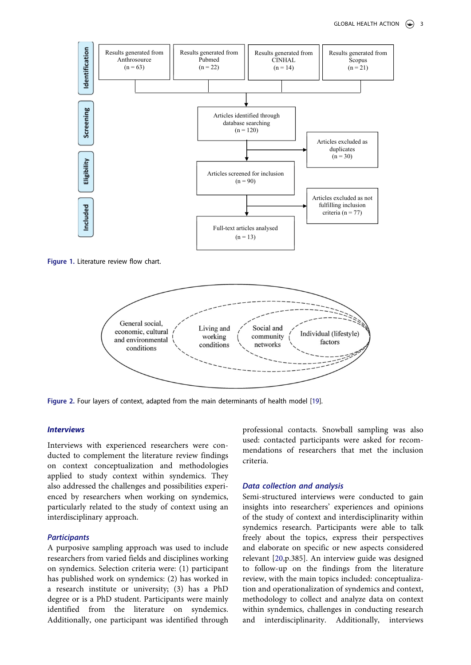

<span id="page-3-0"></span>**Figure 1.** Literature review flow chart.



<span id="page-3-1"></span>Figure 2. Four layers of context, adapted from the main determinants of health model [[19\]](#page-10-4).

#### *Interviews*

Interviews with experienced researchers were conducted to complement the literature review findings on context conceptualization and methodologies applied to study context within syndemics. They also addressed the challenges and possibilities experienced by researchers when working on syndemics, particularly related to the study of context using an interdisciplinary approach.

## *Participants*

A purposive sampling approach was used to include researchers from varied fields and disciplines working on syndemics. Selection criteria were: (1) participant has published work on syndemics: (2) has worked in a research institute or university; (3) has a PhD degree or is a PhD student. Participants were mainly identified from the literature on syndemics. Additionally, one participant was identified through professional contacts. Snowball sampling was also used: contacted participants were asked for recommendations of researchers that met the inclusion criteria.

#### *Data collection and analysis*

<span id="page-3-2"></span>Semi-structured interviews were conducted to gain insights into researchers' experiences and opinions of the study of context and interdisciplinarity within syndemics research. Participants were able to talk freely about the topics, express their perspectives and elaborate on specific or new aspects considered relevant [[20,](#page-10-5)p.385]. An interview guide was designed to follow-up on the findings from the literature review, with the main topics included: conceptualization and operationalization of syndemics and context, methodology to collect and analyze data on context within syndemics, challenges in conducting research and interdisciplinarity. Additionally, interviews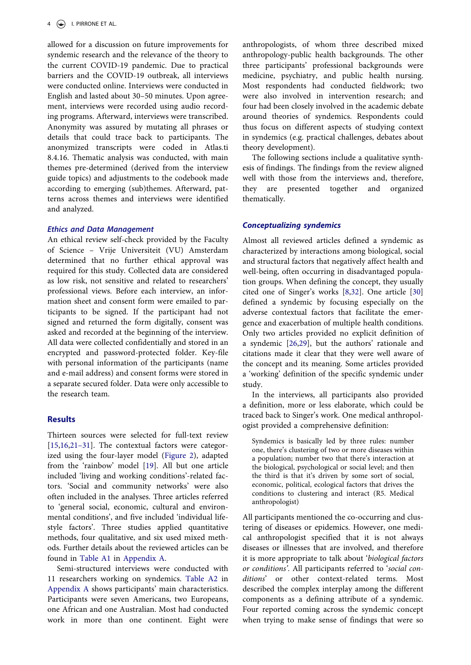allowed for a discussion on future improvements for syndemic research and the relevance of the theory to the current COVID-19 pandemic. Due to practical barriers and the COVID-19 outbreak, all interviews were conducted online. Interviews were conducted in English and lasted about 30–50 minutes. Upon agreement, interviews were recorded using audio recording programs. Afterward, interviews were transcribed. Anonymity was assured by mutating all phrases or details that could trace back to participants. The anonymized transcripts were coded in Atlas.ti 8.4.16. Thematic analysis was conducted, with main themes pre-determined (derived from the interview guide topics) and adjustments to the codebook made according to emerging (sub)themes. Afterward, patterns across themes and interviews were identified and analyzed.

#### *Ethics and Data Management*

An ethical review self-check provided by the Faculty of Science – Vrije Universiteit (VU) Amsterdam determined that no further ethical approval was required for this study. Collected data are considered as low risk, not sensitive and related to researchers' professional views. Before each interview, an information sheet and consent form were emailed to participants to be signed. If the participant had not signed and returned the form digitally, consent was asked and recorded at the beginning of the interview. All data were collected confidentially and stored in an encrypted and password-protected folder. Key-file with personal information of the participants (name and e-mail address) and consent forms were stored in a separate secured folder. Data were only accessible to the research team.

## **Results**

<span id="page-4-0"></span>Thirteen sources were selected for full-text review [[15,](#page-10-0)[16](#page-10-1),[21–31](#page-10-6)]. The contextual factors were categorized using the four-layer model [\(Figure 2\)](#page-3-1), adapted from the 'rainbow' model [\[19](#page-10-4)]. All but one article included 'living and working conditions'-related factors. 'Social and community networks' were also often included in the analyses. Three articles referred to 'general social, economic, cultural and environmental conditions', and five included 'individual lifestyle factors'. Three studies applied quantitative methods, four qualitative, and six used mixed methods. Further details about the reviewed articles can be found in [Table A1](#page-11-0) in Appendix A.

Semi-structured interviews were conducted with 11 researchers working on syndemics. [Table A2](#page-12-0) in Appendix A shows participants' main characteristics. Participants were seven Americans, two Europeans, one African and one Australian. Most had conducted work in more than one continent. Eight were

anthropologists, of whom three described mixed anthropology-public health backgrounds. The other three participants' professional backgrounds were medicine, psychiatry, and public health nursing. Most respondents had conducted fieldwork; two were also involved in intervention research; and four had been closely involved in the academic debate around theories of syndemics. Respondents could thus focus on different aspects of studying context in syndemics (e.g. practical challenges, debates about theory development).

The following sections include a qualitative synthesis of findings. The findings from the review aligned well with those from the interviews and, therefore, they are presented together and organized thematically.

#### *Conceptualizing syndemics*

<span id="page-4-2"></span>Almost all reviewed articles defined a syndemic as characterized by interactions among biological, social and structural factors that negatively affect health and well-being, often occurring in disadvantaged population groups. When defining the concept, they usually cited one of Singer's works [\[8](#page-9-5),[32\]](#page-10-7). One article [[30\]](#page-10-8) defined a syndemic by focusing especially on the adverse contextual factors that facilitate the emergence and exacerbation of multiple health conditions. Only two articles provided no explicit definition of a syndemic [[26,](#page-10-9)[29](#page-10-10)], but the authors' rationale and citations made it clear that they were well aware of the concept and its meaning. Some articles provided a 'working' definition of the specific syndemic under study.

<span id="page-4-1"></span>In the interviews, all participants also provided a definition, more or less elaborate, which could be traced back to Singer's work. One medical anthropologist provided a comprehensive definition:

Syndemics is basically led by three rules: number one, there's clustering of two or more diseases within a population; number two that there's interaction at the biological, psychological or social level; and then the third is that it's driven by some sort of social, economic, political, ecological factors that drives the conditions to clustering and interact (R5. Medical anthropologist)

All participants mentioned the co-occurring and clustering of diseases or epidemics. However, one medical anthropologist specified that it is not always diseases or illnesses that are involved, and therefore it is more appropriate to talk about '*biological factors or conditions'*. All participants referred to '*social conditions*' or other context-related terms. Most described the complex interplay among the different components as a defining attribute of a syndemic. Four reported coming across the syndemic concept when trying to make sense of findings that were so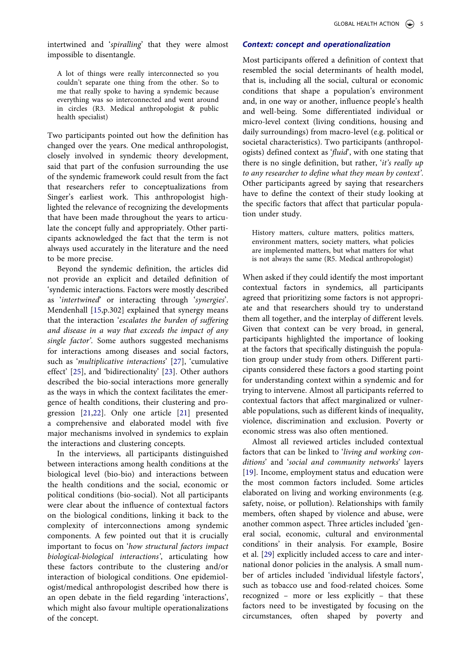intertwined and '*spiralling*' that they were almost impossible to disentangle.

A lot of things were really interconnected so you couldn't separate one thing from the other. So to me that really spoke to having a syndemic because everything was so interconnected and went around in circles (R3. Medical anthropologist & public health specialist)

Two participants pointed out how the definition has changed over the years. One medical anthropologist, closely involved in syndemic theory development, said that part of the confusion surrounding the use of the syndemic framework could result from the fact that researchers refer to conceptualizations from Singer's earliest work. This anthropologist highlighted the relevance of recognizing the developments that have been made throughout the years to articulate the concept fully and appropriately. Other participants acknowledged the fact that the term is not always used accurately in the literature and the need to be more precise.

<span id="page-5-2"></span>Beyond the syndemic definition, the articles did not provide an explicit and detailed definition of 'syndemic interactions. Factors were mostly described as '*intertwined*' or interacting through '*synergies*'. Mendenhall [\[15](#page-10-0),p.302] explained that synergy means that the interaction '*escalates the burden of suffering and disease in a way that exceeds the impact of any single factor'*. Some authors suggested mechanisms for interactions among diseases and social factors, such as '*multiplicative interactions*' [\[27](#page-10-11)], 'cumulative effect' [\[25\]](#page-10-12), and 'bidirectionality' [\[23](#page-10-13)]. Other authors described the bio-social interactions more generally as the ways in which the context facilitates the emergence of health conditions, their clustering and progression [\[21](#page-10-6),[22\]](#page-10-14). Only one article [\[21](#page-10-6)] presented a comprehensive and elaborated model with five major mechanisms involved in syndemics to explain the interactions and clustering concepts.

<span id="page-5-1"></span><span id="page-5-0"></span>In the interviews, all participants distinguished between interactions among health conditions at the biological level (bio-bio) and interactions between the health conditions and the social, economic or political conditions (bio-social). Not all participants were clear about the influence of contextual factors on the biological conditions, linking it back to the complexity of interconnections among syndemic components. A few pointed out that it is crucially important to focus on '*how structural factors impact biological-biological interactions'*, articulating how these factors contribute to the clustering and/or interaction of biological conditions. One epidemiologist/medical anthropologist described how there is an open debate in the field regarding 'interactions', which might also favour multiple operationalizations of the concept.

### *Context: concept and operationalization*

Most participants offered a definition of context that resembled the social determinants of health model, that is, including all the social, cultural or economic conditions that shape a population's environment and, in one way or another, influence people's health and well-being. Some differentiated individual or micro-level context (living conditions, housing and daily surroundings) from macro-level (e.g. political or societal characteristics). Two participants (anthropologists) defined context as '*fluid*', with one stating that there is no single definition, but rather, '*it's really up to any researcher to define what they mean by context'*. Other participants agreed by saying that researchers have to define the context of their study looking at the specific factors that affect that particular population under study.

History matters, culture matters, politics matters, environment matters, society matters, what policies are implemented matters, but what matters for what is not always the same (R5. Medical anthropologist)

When asked if they could identify the most important contextual factors in syndemics, all participants agreed that prioritizing some factors is not appropriate and that researchers should try to understand them all together, and the interplay of different levels. Given that context can be very broad, in general, participants highlighted the importance of looking at the factors that specifically distinguish the population group under study from others. Different participants considered these factors a good starting point for understanding context within a syndemic and for trying to intervene. Almost all participants referred to contextual factors that affect marginalized or vulnerable populations, such as different kinds of inequality, violence, discrimination and exclusion. Poverty or economic stress was also often mentioned.

Almost all reviewed articles included contextual factors that can be linked to '*living and working conditions*' and '*social and community networks*' layers [\[19](#page-10-4)]. Income, employment status and education were the most common factors included. Some articles elaborated on living and working environments (e.g. safety, noise, or pollution). Relationships with family members, often shaped by violence and abuse, were another common aspect. Three articles included 'general social, economic, cultural and environmental conditions' in their analysis. For example, Bosire et al. [[29\]](#page-10-10) explicitly included access to care and international donor policies in the analysis. A small number of articles included 'individual lifestyle factors', such as tobacco use and food-related choices. Some recognized – more or less explicitly – that these factors need to be investigated by focusing on the circumstances, often shaped by poverty and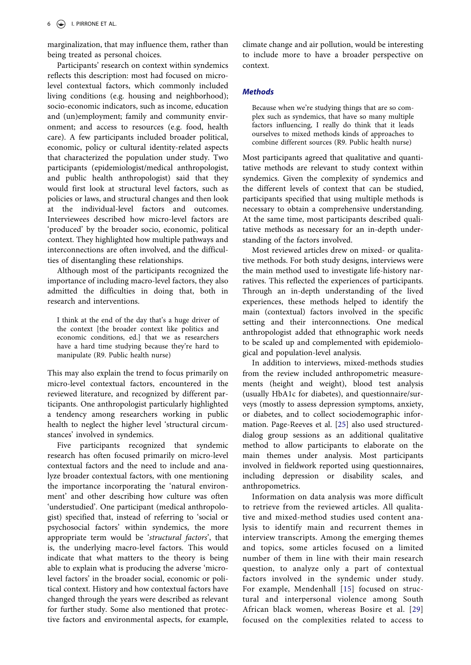marginalization, that may influence them, rather than being treated as personal choices.

Participants' research on context within syndemics reflects this description: most had focused on microlevel contextual factors, which commonly included living conditions (e.g. housing and neighborhood); socio-economic indicators, such as income, education and (un)employment; family and community environment; and access to resources (e.g. food, health care). A few participants included broader political, economic, policy or cultural identity-related aspects that characterized the population under study. Two participants (epidemiologist/medical anthropologist, and public health anthropologist) said that they would first look at structural level factors, such as policies or laws, and structural changes and then look at the individual-level factors and outcomes. Interviewees described how micro-level factors are 'produced' by the broader socio, economic, political context. They highlighted how multiple pathways and interconnections are often involved, and the difficulties of disentangling these relationships.

Although most of the participants recognized the importance of including macro-level factors, they also admitted the difficulties in doing that, both in research and interventions.

I think at the end of the day that's a huge driver of the context [the broader context like politics and economic conditions, ed.] that we as researchers have a hard time studying because they're hard to manipulate (R9. Public health nurse)

This may also explain the trend to focus primarily on micro-level contextual factors, encountered in the reviewed literature, and recognized by different participants. One anthropologist particularly highlighted a tendency among researchers working in public health to neglect the higher level 'structural circumstances' involved in syndemics.

Five participants recognized that syndemic research has often focused primarily on micro-level contextual factors and the need to include and analyze broader contextual factors, with one mentioning the importance incorporating the 'natural environment' and other describing how culture was often 'understudied'. One participant (medical anthropologist) specified that, instead of referring to 'social or psychosocial factors' within syndemics, the more appropriate term would be '*structural factors*', that is, the underlying macro-level factors. This would indicate that what matters to the theory is being able to explain what is producing the adverse 'microlevel factors' in the broader social, economic or political context. History and how contextual factors have changed through the years were described as relevant for further study. Some also mentioned that protective factors and environmental aspects, for example, climate change and air pollution, would be interesting to include more to have a broader perspective on context.

### *Methods*

Because when we're studying things that are so complex such as syndemics, that have so many multiple factors influencing, I really do think that it leads ourselves to mixed methods kinds of approaches to combine different sources (R9. Public health nurse)

Most participants agreed that qualitative and quantitative methods are relevant to study context within syndemics. Given the complexity of syndemics and the different levels of context that can be studied, participants specified that using multiple methods is necessary to obtain a comprehensive understanding. At the same time, most participants described qualitative methods as necessary for an in-depth understanding of the factors involved.

Most reviewed articles drew on mixed- or qualitative methods. For both study designs, interviews were the main method used to investigate life-history narratives. This reflected the experiences of participants. Through an in-depth understanding of the lived experiences, these methods helped to identify the main (contextual) factors involved in the specific setting and their interconnections. One medical anthropologist added that ethnographic work needs to be scaled up and complemented with epidemiological and population-level analysis.

In addition to interviews, mixed-methods studies from the review included anthropometric measurements (height and weight), blood test analysis (usually HbA1c for diabetes), and questionnaire/surveys (mostly to assess depression symptoms, anxiety, or diabetes, and to collect sociodemographic information. Page-Reeves et al. [\[25](#page-10-12)] also used structureddialog group sessions as an additional qualitative method to allow participants to elaborate on the main themes under analysis. Most participants involved in fieldwork reported using questionnaires, including depression or disability scales, and anthropometrics.

Information on data analysis was more difficult to retrieve from the reviewed articles. All qualitative and mixed-method studies used content analysis to identify main and recurrent themes in interview transcripts. Among the emerging themes and topics, some articles focused on a limited number of them in line with their main research question, to analyze only a part of contextual factors involved in the syndemic under study. For example, Mendenhall [[15\]](#page-10-0) focused on structural and interpersonal violence among South African black women, whereas Bosire et al. [[29\]](#page-10-10) focused on the complexities related to access to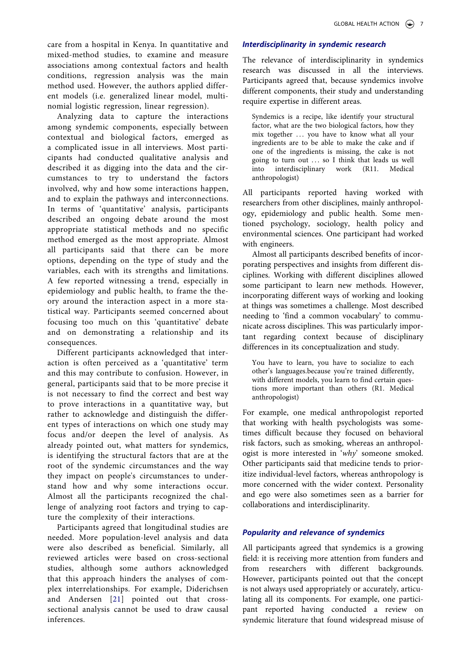care from a hospital in Kenya. In quantitative and mixed-method studies, to examine and measure associations among contextual factors and health conditions, regression analysis was the main method used. However, the authors applied different models (i.e. generalized linear model, multinomial logistic regression, linear regression).

Analyzing data to capture the interactions among syndemic components, especially between contextual and biological factors, emerged as a complicated issue in all interviews. Most participants had conducted qualitative analysis and described it as digging into the data and the circumstances to try to understand the factors involved, why and how some interactions happen, and to explain the pathways and interconnections. In terms of 'quantitative' analysis, participants described an ongoing debate around the most appropriate statistical methods and no specific method emerged as the most appropriate. Almost all participants said that there can be more options, depending on the type of study and the variables, each with its strengths and limitations. A few reported witnessing a trend, especially in epidemiology and public health, to frame the theory around the interaction aspect in a more statistical way. Participants seemed concerned about focusing too much on this 'quantitative' debate and on demonstrating a relationship and its consequences.

Different participants acknowledged that interaction is often perceived as a 'quantitative' term and this may contribute to confusion. However, in general, participants said that to be more precise it is not necessary to find the correct and best way to prove interactions in a quantitative way, but rather to acknowledge and distinguish the different types of interactions on which one study may focus and/or deepen the level of analysis. As already pointed out, what matters for syndemics, is identifying the structural factors that are at the root of the syndemic circumstances and the way they impact on people's circumstances to understand how and why some interactions occur. Almost all the participants recognized the challenge of analyzing root factors and trying to capture the complexity of their interactions.

Participants agreed that longitudinal studies are needed. More population-level analysis and data were also described as beneficial. Similarly, all reviewed articles were based on cross-sectional studies, although some authors acknowledged that this approach hinders the analyses of complex interrelationships. For example, Diderichsen and Andersen [[21](#page-10-6)] pointed out that crosssectional analysis cannot be used to draw causal inferences.

## *Interdisciplinarity in syndemic research*

The relevance of interdisciplinarity in syndemics research was discussed in all the interviews. Participants agreed that, because syndemics involve different components, their study and understanding require expertise in different areas.

Syndemics is a recipe, like identify your structural factor, what are the two biological factors, how they mix together ... you have to know what all your ingredients are to be able to make the cake and if one of the ingredients is missing, the cake is not going to turn out ... so I think that leads us well into interdisciplinary work (R11. Medical anthropologist)

All participants reported having worked with researchers from other disciplines, mainly anthropology, epidemiology and public health. Some mentioned psychology, sociology, health policy and environmental sciences. One participant had worked with engineers.

Almost all participants described benefits of incorporating perspectives and insights from different disciplines. Working with different disciplines allowed some participant to learn new methods. However, incorporating different ways of working and looking at things was sometimes a challenge. Most described needing to 'find a common vocabulary' to communicate across disciplines. This was particularly important regarding context because of disciplinary differences in its conceptualization and study.

You have to learn, you have to socialize to each other's languages.because you're trained differently, with different models, you learn to find certain questions more important than others (R1. Medical anthropologist)

For example, one medical anthropologist reported that working with health psychologists was sometimes difficult because they focused on behavioral risk factors, such as smoking, whereas an anthropologist is more interested in '*why*' someone smoked. Other participants said that medicine tends to prioritize individual-level factors, whereas anthropology is more concerned with the wider context. Personality and ego were also sometimes seen as a barrier for collaborations and interdisciplinarity.

## *Popularity and relevance of syndemics*

All participants agreed that syndemics is a growing field: it is receiving more attention from funders and from researchers with different backgrounds. However, participants pointed out that the concept is not always used appropriately or accurately, articulating all its components. For example, one participant reported having conducted a review on syndemic literature that found widespread misuse of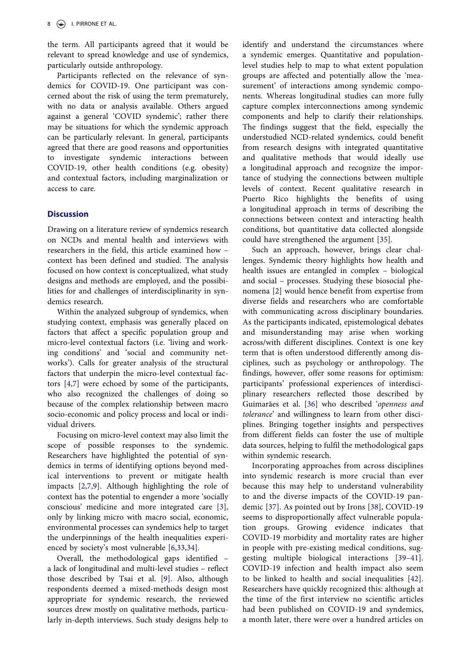the term. All participants agreed that it would be relevant to spread knowledge and use of syndemics, particularly outside anthropology.

Participants reflected on the relevance of syndemics for COVID-19. One participant was concerned about the risk of using the term prematurely, with no data or analysis available. Others argued against a general 'COVID syndemic'; rather there may be situations for which the syndemic approach can be particularly relevant. In general, participants agreed that there are good reasons and opportunities to investigate syndemic interactions between COVID-19, other health conditions (e.g. obesity) and contextual factors, including marginalization or access to care.

## **Discussion**

Drawing on a literature review of syndemics research on NCDs and mental health and interviews with researchers in the field, this article examined how – context has been defined and studied. The analysis focused on how context is conceptualized, what study designs and methods are employed, and the possibilities for and challenges of interdisciplinarity in syndemics research.

Within the analyzed subgroup of syndemics, when studying context, emphasis was generally placed on factors that affect a specific population group and micro-level contextual factors (i.e. 'living and working conditions' and 'social and community networks'). Calls for greater analysis of the structural factors that underpin the micro-level contextual factors [\[4](#page-9-2),[7\]](#page-9-4) were echoed by some of the participants, who also recognized the challenges of doing so because of the complex relationship between macro socio-economic and policy process and local or individual drivers.

Focusing on micro-level context may also limit the scope of possible responses to the syndemic. Researchers have highlighted the potential of syndemics in terms of identifying options beyond medical interventions to prevent or mitigate health impacts [[2,](#page-9-1)[7](#page-9-4),[9\]](#page-9-6). Although highlighting the role of context has the potential to engender a more 'socially conscious' medicine and more integrated care [[3\]](#page-9-11), only by linking micro with macro social, economic, environmental processes can syndemics help to target the underpinnings of the health inequalities experienced by society's most vulnerable [\[6](#page-9-12),[33,](#page-10-15)[34](#page-10-16)].

<span id="page-8-1"></span><span id="page-8-0"></span>Overall, the methodological gaps identified – a lack of longitudinal and multi-level studies – reflect those described by Tsai et al. [[9\]](#page-9-6). Also, although respondents deemed a mixed-methods design most appropriate for syndemic research, the reviewed sources drew mostly on qualitative methods, particularly in-depth interviews. Such study designs help to identify and understand the circumstances where a syndemic emerges. Quantitative and populationlevel studies help to map to what extent population groups are affected and potentially allow the 'measurement' of interactions among syndemic components. Whereas longitudinal studies can more fully capture complex interconnections among syndemic components and help to clarify their relationships. The findings suggest that the field, especially the understudied NCD-related syndemics, could benefit from research designs with integrated quantitative and qualitative methods that would ideally use a longitudinal approach and recognize the importance of studying the connections between multiple levels of context. Recent qualitative research in Puerto Rico highlights the benefits of using a longitudinal approach in terms of describing the connections between context and interacting health conditions, but quantitative data collected alongside could have strengthened the argument [\[35](#page-10-17)].

<span id="page-8-2"></span>Such an approach, however, brings clear challenges. Syndemic theory highlights how health and health issues are entangled in complex – biological and social – processes. Studying these biosocial phenomena [[2\]](#page-9-1) would hence benefit from expertise from diverse fields and researchers who are comfortable with communicating across disciplinary boundaries. As the participants indicated, epistemological debates and misunderstanding may arise when working across/with different disciplines. Context is one key term that is often understood differently among disciplines, such as psychology or anthropology. The findings, however, offer some reasons for optimism: participants' professional experiences of interdisciplinary researchers reflected those described by Guimarães et al. [\[36](#page-10-18)] who described '*openness and tolerance*' and willingness to learn from other disciplines. Bringing together insights and perspectives from different fields can foster the use of multiple data sources, helping to fulfil the methodological gaps within syndemic research.

<span id="page-8-6"></span><span id="page-8-5"></span><span id="page-8-4"></span><span id="page-8-3"></span>Incorporating approaches from across disciplines into syndemic research is more crucial than ever because this may help to understand vulnerability to and the diverse impacts of the COVID-19 pandemic [\[37\]](#page-10-19). As pointed out by Irons [\[38](#page-10-20)], COVID-19 seems to disproportionally affect vulnerable population groups. Growing evidence indicates that COVID-19 morbidity and mortality rates are higher in people with pre-existing medical conditions, suggesting multiple biological interactions [\[39–41](#page-10-21)]. COVID-19 infection and health impact also seem to be linked to health and social inequalities [[42](#page-10-22)]. Researchers have quickly recognized this: although at the time of the first interview no scientific articles had been published on COVID-19 and syndemics, a month later, there were over a hundred articles on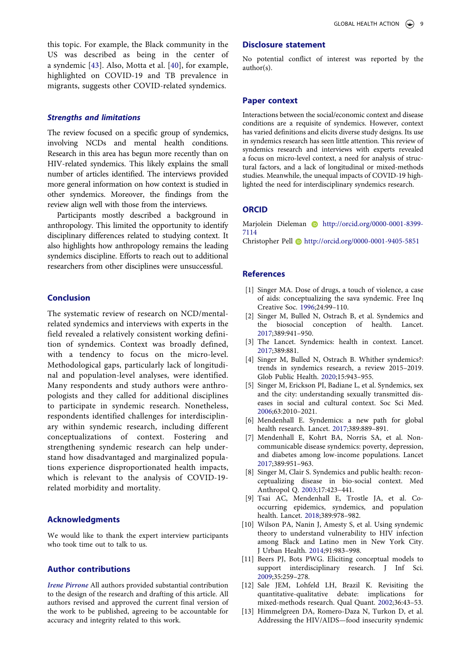<span id="page-9-13"></span>this topic. For example, the Black community in the US was described as being in the center of a syndemic [\[43](#page-10-23)]. Also, Motta et al. [[40\]](#page-10-24), for example, highlighted on COVID-19 and TB prevalence in migrants, suggests other COVID-related syndemics.

### *Strengths and limitations*

The review focused on a specific group of syndemics, involving NCDs and mental health conditions. Research in this area has begun more recently than on HIV-related syndemics. This likely explains the small number of articles identified. The interviews provided more general information on how context is studied in other syndemics. Moreover, the findings from the review align well with those from the interviews.

Participants mostly described a background in anthropology. This limited the opportunity to identify disciplinary differences related to studying context. It also highlights how anthropology remains the leading syndemics discipline. Efforts to reach out to additional researchers from other disciplines were unsuccessful.

## **Conclusion**

The systematic review of research on NCD/mentalrelated syndemics and interviews with experts in the field revealed a relatively consistent working definition of syndemics. Context was broadly defined, with a tendency to focus on the micro-level. Methodological gaps, particularly lack of longitudinal and population-level analyses, were identified. Many respondents and study authors were anthropologists and they called for additional disciplines to participate in syndemic research. Nonetheless, respondents identified challenges for interdisciplinary within syndemic research, including different conceptualizations of context. Fostering and strengthening syndemic research can help understand how disadvantaged and marginalized populations experience disproportionated health impacts, which is relevant to the analysis of COVID-19 related morbidity and mortality.

## **Acknowledgments**

We would like to thank the expert interview participants who took time out to talk to us.

#### **Author contributions**

*Irene Pirrone* All authors provided substantial contribution to the design of the research and drafting of this article. All authors revised and approved the current final version of the work to be published, agreeing to be accountable for accuracy and integrity related to this work.

### **Disclosure statement**

No potential conflict of interest was reported by the author(s).

## **Paper context**

Interactions between the social/economic context and disease conditions are a requisite of syndemics. However, context has varied definitions and elicits diverse study designs. Its use in syndemics research has seen little attention. This review of syndemics research and interviews with experts revealed a focus on micro-level context, a need for analysis of structural factors, and a lack of longitudinal or mixed-methods studies. Meanwhile, the unequal impacts of COVID-19 highlighted the need for interdisciplinary syndemics research.

#### **ORCID**

Marjolein Dieleman **b** http://orcid.org/0000-0001-8399-7114

Christopher Pell **b** http://orcid.org/0000-0001-9405-5851

#### **References**

- <span id="page-9-0"></span>[1] Singer MA. Dose of drugs, a touch of violence, a case of aids: conceptualizing the sava syndemic. Free Inq Creative Soc. [1996;](#page-1-4)24:99–110.
- <span id="page-9-1"></span>[2] Singer M, Bulled N, Ostrach B, et al. Syndemics and the biosocial conception of health. Lancet. [2017;](#page-1-5)389:941–950.
- <span id="page-9-11"></span>[3] The Lancet. Syndemics: health in context. Lancet. [2017;](#page-8-0)389:881.
- <span id="page-9-2"></span>[4] Singer M, Bulled N, Ostrach B. Whither syndemics?: trends in syndemics research, a review 2015–2019. Glob Public Health. [2020](#page-1-5);15:943–955.
- <span id="page-9-3"></span>[5] Singer M, Erickson PI, Badiane L, et al. Syndemics, sex and the city: understanding sexually transmitted diseases in social and cultural context. Soc Sci Med. [2006;](#page-1-6)63:2010–2021.
- <span id="page-9-12"></span>[6] Mendenhall E. Syndemics: a new path for global health research. Lancet. [2017;](#page-8-1)389:889–891.
- <span id="page-9-4"></span>[7] Mendenhall E, Kohrt BA, Norris SA, et al. Noncommunicable disease syndemics: poverty, depression, and diabetes among low-income populations. Lancet [2017;](#page-1-7)389:951–963.
- <span id="page-9-5"></span>[8] Singer M, Clair S. Syndemics and public health: reconceptualizing disease in bio-social context. Med Anthropol Q. [2003;](#page-1-8)17:423–441.
- <span id="page-9-6"></span>[9] Tsai AC, Mendenhall E, Trostle JA, et al. Cooccurring epidemics, syndemics, and population health. Lancet. [2018;](#page-1-9)389:978–982.
- <span id="page-9-7"></span>[10] Wilson PA, Nanin J, Amesty S, et al. Using syndemic theory to understand vulnerability to HIV infection among Black and Latino men in New York City. J Urban Health. [2014](#page-2-0);91:983–998.
- <span id="page-9-8"></span>[11] Beers PJ, Bots PWG. Eliciting conceptual models to support interdisciplinary research. J Inf Sci. [2009;](#page-2-1)35:259–278.
- <span id="page-9-9"></span>[12] Sale JEM, Lohfeld LH, Brazil K. Revisiting the quantitative-qualitative debate: implications for mixed-methods research. Qual Quant. [2002](#page-2-2);36:43–53.
- <span id="page-9-10"></span>[13] Himmelgreen DA, Romero-Daza N, Turkon D, et al. Addressing the HIV/AIDS—food insecurity syndemic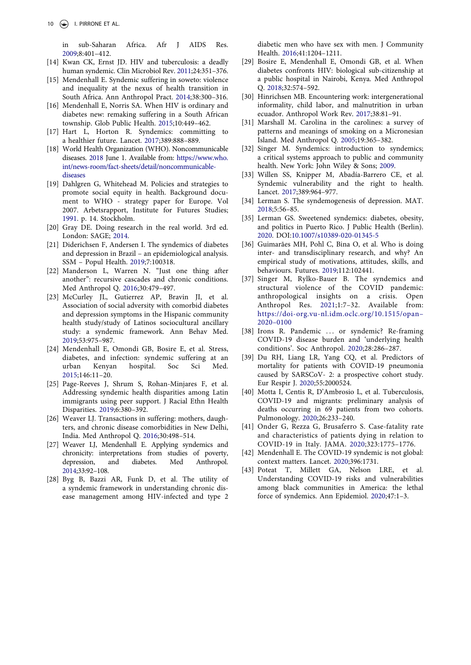in sub-Saharan Africa. Afr J AIDS Res. [2009](#page-2-3);8:401–412.

- [14] Kwan CK, Ernst JD. HIV and tuberculosis: a deadly human syndemic. Clin Microbiol Rev. 2011;24:351–376.
- <span id="page-10-0"></span>[15] Mendenhall E. Syndemic suffering in soweto: violence and inequality at the nexus of health transition in South Africa. Ann Anthropol Pract. [2014](#page-2-4);38:300–316.
- <span id="page-10-1"></span>[16] Mendenhall E, Norris SA. When HIV is ordinary and diabetes new: remaking suffering in a South African township. Glob Public Health. [2015;](#page-2-5)10:449–462.
- <span id="page-10-2"></span>[17] Hart L, Horton R. Syndemics: committing to a healthier future. Lancet. [2017;](#page-2-6)389:888–889.
- <span id="page-10-3"></span>[18] World Health Organization (WHO). Noncommunicable diseases. [2018](#page-2-7) June 1. Available from: [https://www.who.](https://www.who.int/news-room/fact-sheets/detail/noncommunicable-diseases) [int/news-room/fact-sheets/detail/noncommunicable](https://www.who.int/news-room/fact-sheets/detail/noncommunicable-diseases)[diseases](https://www.who.int/news-room/fact-sheets/detail/noncommunicable-diseases)
- <span id="page-10-4"></span>[19] Dahlgren G, Whitehead M. Policies and strategies to promote social equity in health. Background document to WHO - strategy paper for Europe. Vol 2007. Arbetsrapport, Institute for Futures Studies; [1991](#page-2-8). p. 14. Stockholm.
- <span id="page-10-5"></span>[20] Gray DE. Doing research in the real world. 3rd ed. London: SAGE; [2014](#page-3-2).
- <span id="page-10-6"></span>[21] Diderichsen F, Andersen I. The syndemics of diabetes and depression in Brazil – an epidemiological analysis. SSM – Popul Health. [2019;](#page-4-0)7:100318.
- <span id="page-10-14"></span>[22] Manderson L, Warren N. "Just one thing after another": recursive cascades and chronic conditions. Med Anthropol Q. [2016;](#page-5-0)30:479–497.
- <span id="page-10-13"></span>[23] McCurley JL, Gutierrez AP, Bravin JI, et al. Association of social adversity with comorbid diabetes and depression symptoms in the Hispanic community health study/study of Latinos sociocultural ancillary study: a syndemic framework. Ann Behav Med. [2019](#page-5-1);53:975–987.
- <span id="page-10-25"></span>[24] Mendenhall E, Omondi GB, Bosire E, et al. Stress, diabetes, and infection: syndemic suffering at an urban Kenyan hospital. Soc Sci Med. [2015;](#page-11-1)146:11–20.
- <span id="page-10-12"></span>[25] Page-Reeves J, Shrum S, Rohan-Minjares F, et al. Addressing syndemic health disparities among Latin immigrants using peer support. J Racial Ethn Health Disparities. [2019;](#page-5-1)6:380–392.
- <span id="page-10-9"></span>[26] Weaver LJ. Transactions in suffering: mothers, daughters, and chronic disease comorbidities in New Delhi, India. Med Anthropol Q. [2016](#page-4-1);30:498–514.
- <span id="page-10-11"></span>[27] Weaver LJ, Mendenhall E. Applying syndemics and chronicity: interpretations from studies of poverty, depression, and diabetes. Med Anthropol. [2014](#page-5-2);33:92–108.
- <span id="page-10-26"></span>[28] Byg B, Bazzi AR, Funk D, et al. The utility of a syndemic framework in understanding chronic disease management among HIV-infected and type 2

diabetic men who have sex with men. J Community Health. [2016](#page-11-2);41:1204–1211.

- <span id="page-10-10"></span>[29] Bosire E, Mendenhall E, Omondi GB, et al. When diabetes confronts HIV: biological sub-citizenship at a public hospital in Nairobi, Kenya. Med Anthropol Q. [2018](#page-4-1);32:574–592.
- <span id="page-10-8"></span>[30] Hinrichsen MB. Encountering work: intergenerational informality, child labor, and malnutrition in urban ecuador. Anthropol Work Rev. [2017](#page-4-2);38:81–91.
- <span id="page-10-27"></span>[31] Marshall M. Carolina in the carolines: a survey of patterns and meanings of smoking on a Micronesian Island. Med Anthropol Q. [2005](#page-12-1);19:365–382.
- <span id="page-10-7"></span>[32] Singer M. Syndemics: introduction to syndemics; a critical systems approach to public and community health. New York: John Wiley & Sons; [2009](#page-4-2).
- <span id="page-10-15"></span>[33] Willen SS, Knipper M, Abadía-Barrero CE, et al. Syndemic vulnerability and the right to health. Lancet. [2017;](#page-8-1)389:964–977.
- <span id="page-10-16"></span>[34] Lerman S. The syndemogenesis of depression. MAT. [2018;](#page-8-1)5:56–85.
- <span id="page-10-17"></span>[35] Lerman GS. Sweetened syndemics: diabetes, obesity, and politics in Puerto Rico. J Public Health (Berlin). [2020.](#page-8-2) DOI:[10.1007/s10389-020-01345-5](https://doi.org/10.1007/s10389-020-01345-5)
- <span id="page-10-18"></span>[36] Guimarães MH, Pohl C, Bina O, et al. Who is doing inter- and transdisciplinary research, and why? An empirical study of motivations, attitudes, skills, and behaviours. Futures. [2019](#page-8-3);112:102441.
- <span id="page-10-19"></span>[37] Singer M, Rylko-Bauer B. The syndemics and structural violence of the COVID pandemic: anthropological insights on a crisis. Open Anthropol Res. [2021](#page-8-4);1:7-32. Available from: [https://doi-org.vu-nl.idm.oclc.org/10.1515/opan–](https://doi-org.vu-nl.idm.oclc.org/10.1515/opan%20132020%20130100)  [2020–0100](https://doi-org.vu-nl.idm.oclc.org/10.1515/opan%20132020%20130100)
- <span id="page-10-20"></span>[38] Irons R. Pandemic ... or syndemic? Re-framing COVID-19 disease burden and 'underlying health conditions'. Soc Anthropol. [2020](#page-8-4);28:286–287.
- <span id="page-10-21"></span>[39] Du RH, Liang LR, Yang CQ, et al. Predictors of mortality for patients with COVID-19 pneumonia caused by SARSCoV- 2: a prospective cohort study. Eur Respir J. [2020](#page-8-5);55:2000524.
- <span id="page-10-24"></span>[40] Motta I, Centis R, D'Ambrosio L, et al. Tuberculosis, COVID-19 and migrants: preliminary analysis of deaths occurring in 69 patients from two cohorts. Pulmonology. [2020;](#page-9-13)26:233–240.
- [41] Onder G, Rezza G, Brusaferro S. Case-fatality rate and characteristics of patients dying in relation to COVID-19 in Italy. JAMA. 2020;323:1775–1776.
- <span id="page-10-22"></span>[42] Mendenhall E. The COVID-19 syndemic is not global: context matters. Lancet. [2020](#page-8-6);396:1731.
- <span id="page-10-23"></span>[43] Poteat T, Millett GA, Nelson LRE, et al. Understanding COVID-19 risks and vulnerabilities among black communities in America: the lethal force of syndemics. Ann Epidemiol. [2020](#page-9-13);47:1–3.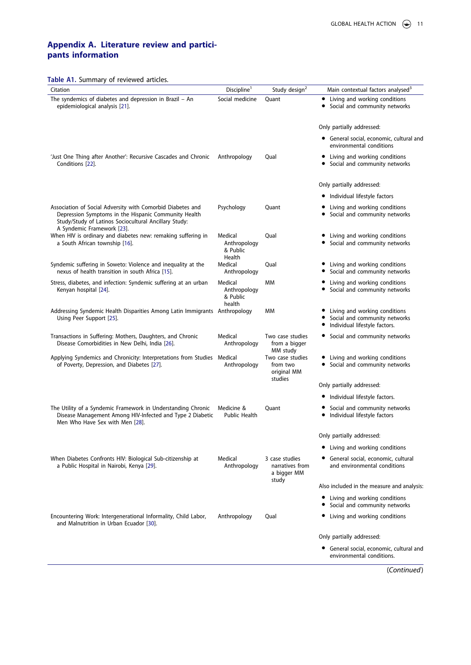## **Appendix A. Literature review and participants information**

**Table A1.** Summary of reviewed articles.

<span id="page-11-2"></span><span id="page-11-1"></span><span id="page-11-0"></span>

| <b>Table AT.</b> Suffifiary of reviewed articles.<br>Citation                                                                                                               | Discipline <sup>1</sup>                       | Study design <sup>2</sup>                              | Main contextual factors analysed <sup>3</sup>                                                   |
|-----------------------------------------------------------------------------------------------------------------------------------------------------------------------------|-----------------------------------------------|--------------------------------------------------------|-------------------------------------------------------------------------------------------------|
| The syndemics of diabetes and depression in Brazil - An<br>epidemiological analysis [21].                                                                                   | Social medicine                               | Quant                                                  | • Living and working conditions<br>• Social and community networks                              |
|                                                                                                                                                                             |                                               |                                                        | Only partially addressed:                                                                       |
|                                                                                                                                                                             |                                               |                                                        | • General social, economic, cultural and<br>environmental conditions                            |
| 'Just One Thing after Another': Recursive Cascades and Chronic<br>Conditions [22].                                                                                          | Anthropology                                  | Qual                                                   | • Living and working conditions<br>• Social and community networks                              |
|                                                                                                                                                                             |                                               |                                                        | Only partially addressed:                                                                       |
|                                                                                                                                                                             |                                               |                                                        | · Individual lifestyle factors                                                                  |
| Association of Social Adversity with Comorbid Diabetes and<br>Depression Symptoms in the Hispanic Community Health<br>Study/Study of Latinos Sociocultural Ancillary Study: | Psychology                                    | Quant                                                  | Living and working conditions<br>Social and community networks<br>٠                             |
| A Syndemic Framework [23].<br>When HIV is ordinary and diabetes new: remaking suffering in<br>a South African township [16].                                                | Medical<br>Anthropology<br>& Public<br>Health | Qual                                                   | Living and working conditions<br>• Social and community networks                                |
| Syndemic suffering in Soweto: Violence and inequality at the<br>nexus of health transition in south Africa [15].                                                            | Medical<br>Anthropology                       | Qual                                                   | Living and working conditions<br>Social and community networks                                  |
| Stress, diabetes, and infection: Syndemic suffering at an urban<br>Kenyan hospital [24].                                                                                    | Medical<br>Anthropology<br>& Public<br>health | МM                                                     | Living and working conditions<br>Social and community networks                                  |
| Addressing Syndemic Health Disparities Among Latin Immigrants Anthropology<br>Using Peer Support [25].                                                                      |                                               | МM                                                     | Living and working conditions<br>Social and community networks<br>Individual lifestyle factors. |
| Transactions in Suffering: Mothers, Daughters, and Chronic<br>Disease Comorbidities in New Delhi, India [26].                                                               | Medical<br>Anthropology                       | Two case studies<br>from a bigger<br>MM study          | • Social and community networks                                                                 |
| Applying Syndemics and Chronicity: Interpretations from Studies Medical<br>of Poverty, Depression, and Diabetes [27].                                                       | Anthropology                                  | Two case studies<br>from two<br>original MM<br>studies | • Living and working conditions<br>• Social and community networks                              |
|                                                                                                                                                                             |                                               |                                                        | Only partially addressed:                                                                       |
|                                                                                                                                                                             |                                               |                                                        | • Individual lifestyle factors.                                                                 |
| The Utility of a Syndemic Framework in Understanding Chronic<br>Disease Management Among HIV-Infected and Type 2 Diabetic<br>Men Who Have Sex with Men [28].                | Medicine &<br>Public Health                   | Quant                                                  | Social and community networks<br>Individual lifestyle factors                                   |
|                                                                                                                                                                             |                                               |                                                        | Only partially addressed:                                                                       |
|                                                                                                                                                                             |                                               |                                                        | Living and working conditions<br>٠                                                              |
| When Diabetes Confronts HIV: Biological Sub-citizenship at<br>a Public Hospital in Nairobi, Kenya [29].                                                                     | Medical<br>Anthropology                       | 3 case studies<br>narratives from<br>a bigger MM       | • General social, economic, cultural<br>and environmental conditions                            |
|                                                                                                                                                                             |                                               | study                                                  | Also included in the measure and analysis:                                                      |
|                                                                                                                                                                             |                                               |                                                        | • Living and working conditions<br>Social and community networks                                |
| Encountering Work: Intergenerational Informality, Child Labor,<br>and Malnutrition in Urban Ecuador [30].                                                                   | Anthropology                                  | Qual                                                   | • Living and working conditions                                                                 |
|                                                                                                                                                                             |                                               |                                                        | Only partially addressed:                                                                       |
|                                                                                                                                                                             |                                               |                                                        | • General social, economic, cultural and<br>environmental conditions.                           |
|                                                                                                                                                                             |                                               |                                                        | (Continued)                                                                                     |